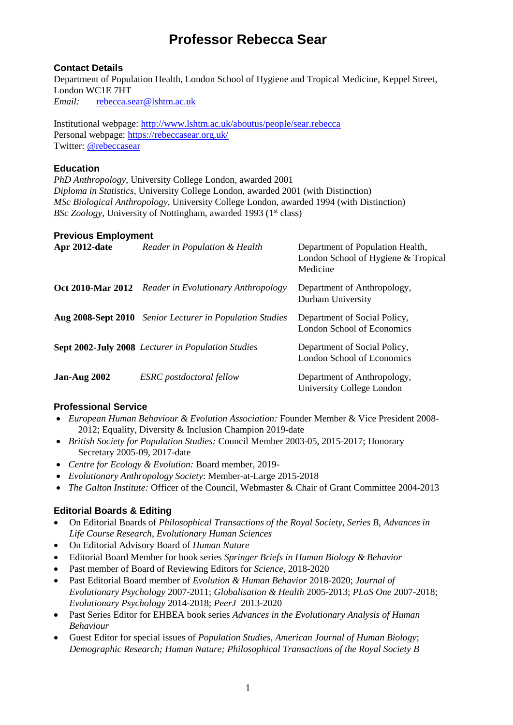## **Contact Details**

Department of Population Health, London School of Hygiene and Tropical Medicine, Keppel Street, London WC1E 7HT *Email:*[rebecca.sear@lshtm.ac.uk](mailto:rebecca.sear@lshtm.ac.uk)

Institutional webpage:<http://www.lshtm.ac.uk/aboutus/people/sear.rebecca> Personal webpage:<https://rebeccasear.org.uk/> Twitter: [@rebeccasear](https://twitter.com/RebeccaSear)

## **Education**

*PhD Anthropology*, University College London, awarded 2001 *Diploma in Statistics*, University College London, awarded 2001 (with Distinction) *MSc Biological Anthropology*, University College London, awarded 1994 (with Distinction) *BSc Zoology*, University of Nottingham, awarded 1993 (1<sup>st</sup> class)

## **Previous Employment**

| Apr 2012-date      | Reader in Population & Health                                | Department of Population Health,<br>London School of Hygiene & Tropical<br>Medicine |
|--------------------|--------------------------------------------------------------|-------------------------------------------------------------------------------------|
|                    | <b>Oct 2010-Mar 2012</b> Reader in Evolutionary Anthropology | Department of Anthropology,<br>Durham University                                    |
| Aug 2008-Sept 2010 | <b>Senior Lecturer in Population Studies</b>                 | Department of Social Policy,<br>London School of Economics                          |
|                    | <b>Sept 2002-July 2008</b> Lecturer in Population Studies    | Department of Social Policy,<br>London School of Economics                          |
| Jan-Aug 2002       | <b>ESRC</b> postdoctoral fellow                              | Department of Anthropology,<br>University College London                            |

## **Professional Service**

- *European Human Behaviour & Evolution Association:* Founder Member & Vice President 2008- 2012; Equality, Diversity & Inclusion Champion 2019-date
- *British Society for Population Studies:* Council Member 2003-05, 2015-2017; Honorary Secretary 2005-09, 2017-date
- *Centre for Ecology & Evolution:* Board member, 2019-
- *Evolutionary Anthropology Society*: Member-at-Large 2015-2018
- *The Galton Institute:* Officer of the Council, Webmaster & Chair of Grant Committee 2004-2013

## **Editorial Boards & Editing**

- On Editorial Boards of *Philosophical Transactions of the Royal Society, Series B, Advances in Life Course Research*, *Evolutionary Human Sciences*
- On Editorial Advisory Board of *Human Nature*
- Editorial Board Member for book series *Springer Briefs in Human Biology & Behavior*
- Past member of Board of Reviewing Editors for *Science*, 2018-2020
- Past Editorial Board member of *Evolution & Human Behavior* 2018-2020; *Journal of Evolutionary Psychology* 2007-2011; *Globalisation & Health* 2005-2013; *PLoS One* 2007-2018; *Evolutionary Psychology* 2014-2018; *PeerJ* 2013-2020
- Past Series Editor for EHBEA book series *Advances in the Evolutionary Analysis of Human Behaviour*
- Guest Editor for special issues of *Population Studies, American Journal of Human Biology*; *Demographic Research; Human Nature; Philosophical Transactions of the Royal Society B*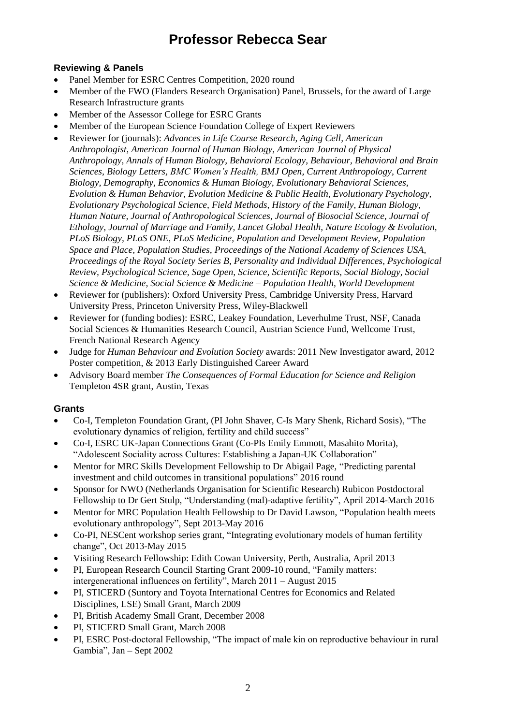## **Reviewing & Panels**

- Panel Member for ESRC Centres Competition, 2020 round
- Member of the FWO (Flanders Research Organisation) Panel, Brussels, for the award of Large Research Infrastructure grants
- Member of the Assessor College for ESRC Grants
- Member of the European Science Foundation College of Expert Reviewers
- Reviewer for (journals): *Advances in Life Course Research, Aging Cell, American Anthropologist, American Journal of Human Biology, American Journal of Physical Anthropology, Annals of Human Biology, Behavioral Ecology, Behaviour, Behavioral and Brain Sciences, Biology Letters, BMC Women's Health, BMJ Open, Current Anthropology, Current Biology, Demography, Economics & Human Biology, Evolutionary Behavioral Sciences, Evolution & Human Behavior, Evolution Medicine & Public Health, Evolutionary Psychology, Evolutionary Psychological Science, Field Methods, History of the Family, Human Biology, Human Nature, Journal of Anthropological Sciences, Journal of Biosocial Science, Journal of Ethology, Journal of Marriage and Family, Lancet Global Health, Nature Ecology & Evolution, PLoS Biology, PLoS ONE, PLoS Medicine, Population and Development Review, Population Space and Place, Population Studies, Proceedings of the National Academy of Sciences USA, Proceedings of the Royal Society Series B, Personality and Individual Differences, Psychological Review, Psychological Science, Sage Open, Science, Scientific Reports, Social Biology, Social Science & Medicine, Social Science & Medicine – Population Health, World Development*
- Reviewer for (publishers): Oxford University Press, Cambridge University Press, Harvard University Press, Princeton University Press, Wiley-Blackwell
- Reviewer for (funding bodies): ESRC, Leakey Foundation, Leverhulme Trust, NSF, Canada Social Sciences & Humanities Research Council, Austrian Science Fund, Wellcome Trust, French National Research Agency
- Judge for *Human Behaviour and Evolution Society* awards: 2011 New Investigator award, 2012 Poster competition, & 2013 Early Distinguished Career Award
- Advisory Board member *The Consequences of Formal Education for Science and Religion*  Templeton 4SR grant, Austin, Texas

## **Grants**

- Co-I, Templeton Foundation Grant, (PI John Shaver, C-Is Mary Shenk, Richard Sosis), "The evolutionary dynamics of religion, fertility and child success"
- Co-I, ESRC UK-Japan Connections Grant (Co-PIs Emily Emmott, Masahito Morita), "Adolescent Sociality across Cultures: Establishing a Japan-UK Collaboration"
- Mentor for MRC Skills Development Fellowship to Dr Abigail Page, "Predicting parental investment and child outcomes in transitional populations" 2016 round
- Sponsor for NWO (Netherlands Organisation for Scientific Research) Rubicon Postdoctoral Fellowship to Dr Gert Stulp, "Understanding (mal)-adaptive fertility", April 2014-March 2016
- Mentor for MRC Population Health Fellowship to Dr David Lawson, "Population health meets evolutionary anthropology", Sept 2013-May 2016
- Co-PI, NESCent workshop series grant, "Integrating evolutionary models of human fertility change", Oct 2013-May 2015
- Visiting Research Fellowship: Edith Cowan University, Perth, Australia, April 2013
- PI, European Research Council Starting Grant 2009-10 round, "Family matters: intergenerational influences on fertility", March 2011 – August 2015
- PI, STICERD (Suntory and Toyota International Centres for Economics and Related Disciplines, LSE) Small Grant, March 2009
- PI, British Academy Small Grant, December 2008
- PI, STICERD Small Grant, March 2008
- PI, ESRC Post-doctoral Fellowship, "The impact of male kin on reproductive behaviour in rural Gambia", Jan – Sept 2002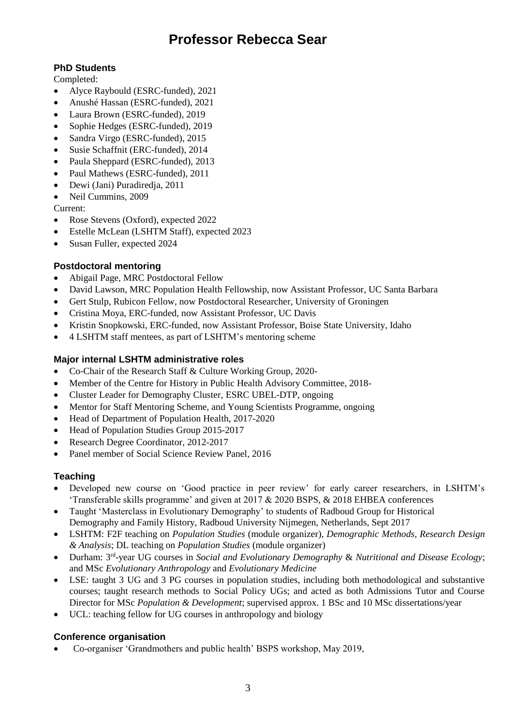## **PhD Students**

Completed:

- Alyce Raybould (ESRC-funded), 2021
- Anushé Hassan (ESRC-funded), 2021
- Laura Brown (ESRC-funded), 2019
- Sophie Hedges (ESRC-funded), 2019
- Sandra Virgo (ESRC-funded), 2015
- Susie Schaffnit (ERC-funded), 2014
- Paula Sheppard (ESRC-funded), 2013
- Paul Mathews (ESRC-funded), 2011
- Dewi (Jani) Puradiredja, 2011
- Neil Cummins, 2009

Current:

- Rose Stevens (Oxford), expected 2022
- Estelle McLean (LSHTM Staff), expected 2023
- Susan Fuller, expected 2024

## **Postdoctoral mentoring**

- Abigail Page, MRC Postdoctoral Fellow
- David Lawson, MRC Population Health Fellowship, now Assistant Professor, UC Santa Barbara
- Gert Stulp, Rubicon Fellow, now Postdoctoral Researcher, University of Groningen
- Cristina Moya, ERC-funded, now Assistant Professor, UC Davis
- Kristin Snopkowski, ERC-funded, now Assistant Professor, Boise State University, Idaho
- 4 LSHTM staff mentees, as part of LSHTM's mentoring scheme

## **Major internal LSHTM administrative roles**

- Co-Chair of the Research Staff & Culture Working Group, 2020-
- Member of the Centre for History in Public Health Advisory Committee, 2018-
- Cluster Leader for Demography Cluster, ESRC UBEL-DTP, ongoing
- Mentor for Staff Mentoring Scheme, and Young Scientists Programme, ongoing
- Head of Department of Population Health, 2017-2020
- Head of Population Studies Group 2015-2017
- Research Degree Coordinator, 2012-2017
- Panel member of Social Science Review Panel, 2016

## **Teaching**

- Developed new course on 'Good practice in peer review' for early career researchers, in LSHTM's 'Transferable skills programme' and given at 2017 & 2020 BSPS, & 2018 EHBEA conferences
- Taught 'Masterclass in Evolutionary Demography' to students of Radboud Group for Historical Demography and Family History, Radboud University Nijmegen, Netherlands, Sept 2017
- LSHTM: F2F teaching on *Population Studies* (module organizer), *Demographic Methods, Research Design & Analysis*; DL teaching on *Population Studies* (module organizer)
- Durham: 3rd -year UG courses in *Social and Evolutionary Demography* & *Nutritional and Disease Ecology*; and MSc *Evolutionary Anthropology* and *Evolutionary Medicine*
- LSE: taught 3 UG and 3 PG courses in population studies, including both methodological and substantive courses; taught research methods to Social Policy UGs; and acted as both Admissions Tutor and Course Director for MSc *Population & Development*; supervised approx. 1 BSc and 10 MSc dissertations/year
- UCL: teaching fellow for UG courses in anthropology and biology

## **Conference organisation**

Co-organiser 'Grandmothers and public health' BSPS workshop, May 2019,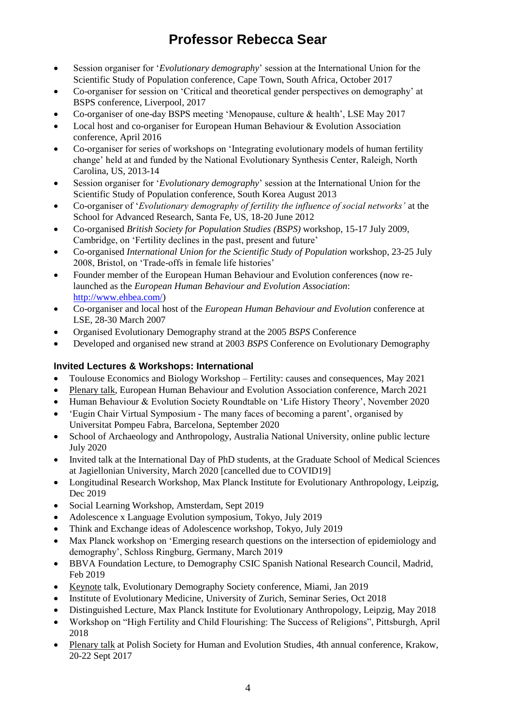- Session organiser for '*Evolutionary demography*' session at the International Union for the Scientific Study of Population conference, Cape Town, South Africa, October 2017
- Co-organiser for session on 'Critical and theoretical gender perspectives on demography' at BSPS conference, Liverpool, 2017
- Co-organiser of one-day BSPS meeting 'Menopause, culture & health', LSE May 2017
- Local host and co-organiser for European Human Behaviour & Evolution Association conference, April 2016
- Co-organiser for series of workshops on 'Integrating evolutionary models of human fertility change' held at and funded by the National Evolutionary Synthesis Center, Raleigh, North Carolina, US, 2013-14
- Session organiser for '*Evolutionary demography*' session at the International Union for the Scientific Study of Population conference, South Korea August 2013
- Co-organiser of '*Evolutionary demography of fertility the influence of social networks'* at the School for Advanced Research, Santa Fe, US, 18-20 June 2012
- Co-organised *British Society for Population Studies (BSPS)* workshop, 15-17 July 2009, Cambridge, on 'Fertility declines in the past, present and future'
- Co-organised *International Union for the Scientific Study of Population* workshop, 23-25 July 2008, Bristol, on 'Trade-offs in female life histories'
- Founder member of the European Human Behaviour and Evolution conferences (now relaunched as the *European Human Behaviour and Evolution Association*: [http://www.ehbea.com/\)](http://www.ehbea.com/)
- Co-organiser and local host of the *European Human Behaviour and Evolution* conference at LSE, 28-30 March 2007
- Organised Evolutionary Demography strand at the 2005 *BSPS* Conference
- Developed and organised new strand at 2003 *BSPS* Conference on Evolutionary Demography

## **Invited Lectures & Workshops: International**

- Toulouse Economics and Biology Workshop Fertility: causes and consequences, May 2021
- Plenary talk, European Human Behaviour and Evolution Association conference, March 2021
- Human Behaviour & Evolution Society Roundtable on 'Life History Theory', November 2020
- 'Eugin Chair Virtual Symposium The many faces of becoming a parent', organised by Universitat Pompeu Fabra, Barcelona, September 2020
- School of Archaeology and Anthropology, Australia National University, online public lecture July 2020
- Invited talk at the International Day of PhD students, at the Graduate School of Medical Sciences at Jagiellonian University, March 2020 [cancelled due to COVID19]
- Longitudinal Research Workshop, Max Planck Institute for Evolutionary Anthropology, Leipzig, Dec 2019
- Social Learning Workshop, Amsterdam, Sept 2019
- Adolescence x Language Evolution symposium, Tokyo, July 2019
- Think and Exchange ideas of Adolescence workshop, Tokyo, July 2019
- Max Planck workshop on 'Emerging research questions on the intersection of epidemiology and demography', Schloss Ringburg, Germany, March 2019
- BBVA Foundation Lecture, to Demography CSIC Spanish National Research Council, Madrid, Feb 2019
- Keynote talk, Evolutionary Demography Society conference, Miami, Jan 2019
- Institute of Evolutionary Medicine, University of Zurich, Seminar Series, Oct 2018
- Distinguished Lecture, Max Planck Institute for Evolutionary Anthropology, Leipzig, May 2018
- Workshop on "High Fertility and Child Flourishing: The Success of Religions", Pittsburgh, April 2018
- Plenary talk at Polish Society for Human and Evolution Studies, 4th annual conference, Krakow, 20-22 Sept 2017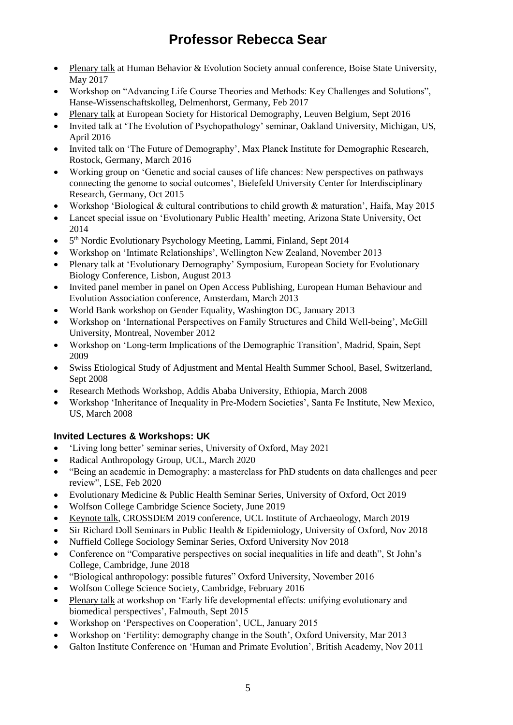- Plenary talk at Human Behavior & Evolution Society annual conference, Boise State University, May 2017
- Workshop on "Advancing Life Course Theories and Methods: Key Challenges and Solutions", Hanse-Wissenschaftskolleg, Delmenhorst, Germany, Feb 2017
- Plenary talk at European Society for Historical Demography, Leuven Belgium, Sept 2016
- Invited talk at 'The Evolution of Psychopathology' seminar, Oakland University, Michigan, US, April 2016
- Invited talk on 'The Future of Demography', Max Planck Institute for Demographic Research, Rostock, Germany, March 2016
- Working group on 'Genetic and social causes of life chances: New perspectives on pathways connecting the genome to social outcomes', Bielefeld University Center for Interdisciplinary Research, Germany, Oct 2015
- Workshop 'Biological & cultural contributions to child growth & maturation', Haifa, May 2015
- Lancet special issue on 'Evolutionary Public Health' meeting, Arizona State University, Oct 2014
- 5<sup>th</sup> Nordic Evolutionary Psychology Meeting, Lammi, Finland, Sept 2014
- Workshop on 'Intimate Relationships', Wellington New Zealand, November 2013
- Plenary talk at 'Evolutionary Demography' Symposium, European Society for Evolutionary Biology Conference, Lisbon, August 2013
- Invited panel member in panel on Open Access Publishing, European Human Behaviour and Evolution Association conference, Amsterdam, March 2013
- World Bank workshop on Gender Equality, Washington DC, January 2013
- Workshop on 'International Perspectives on Family Structures and Child Well-being', McGill University, Montreal, November 2012
- Workshop on 'Long-term Implications of the Demographic Transition', Madrid, Spain, Sept 2009
- Swiss Etiological Study of Adjustment and Mental Health Summer School, Basel, Switzerland, Sept 2008
- Research Methods Workshop, Addis Ababa University, Ethiopia, March 2008
- Workshop 'Inheritance of Inequality in Pre-Modern Societies', Santa Fe Institute, New Mexico, US, March 2008

## **Invited Lectures & Workshops: UK**

- 'Living long better' seminar series, University of Oxford, May 2021
- Radical Anthropology Group, UCL, March 2020
- "Being an academic in Demography: a masterclass for PhD students on data challenges and peer review", LSE, Feb 2020
- Evolutionary Medicine & Public Health Seminar Series, University of Oxford, Oct 2019
- Wolfson College Cambridge Science Society, June 2019
- Keynote talk, CROSSDEM 2019 conference, UCL Institute of Archaeology, March 2019
- Sir Richard Doll Seminars in Public Health & Epidemiology, University of Oxford, Nov 2018
- Nuffield College Sociology Seminar Series, Oxford University Nov 2018
- Conference on "Comparative perspectives on social inequalities in life and death", St John's College, Cambridge, June 2018
- "Biological anthropology: possible futures" Oxford University, November 2016
- Wolfson College Science Society, Cambridge, February 2016
- Plenary talk at workshop on 'Early life developmental effects: unifying evolutionary and biomedical perspectives', Falmouth, Sept 2015
- Workshop on 'Perspectives on Cooperation', UCL, January 2015
- Workshop on 'Fertility: demography change in the South', Oxford University, Mar 2013
- Galton Institute Conference on 'Human and Primate Evolution', British Academy, Nov 2011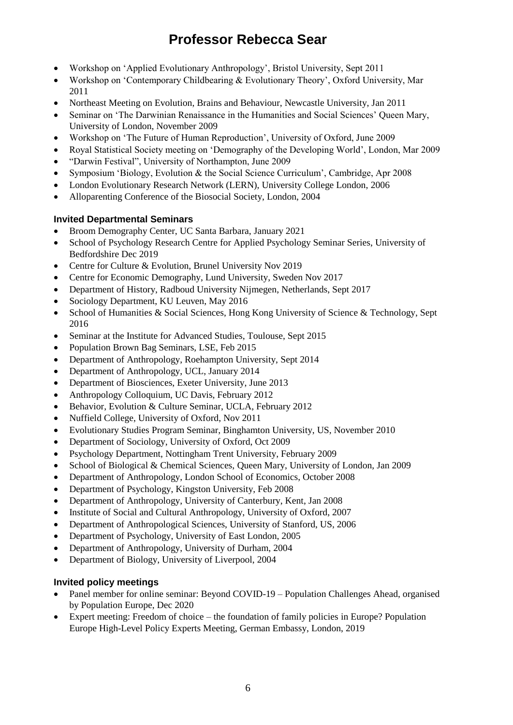- Workshop on 'Applied Evolutionary Anthropology', Bristol University, Sept 2011
- Workshop on 'Contemporary Childbearing & Evolutionary Theory', Oxford University, Mar 2011
- Northeast Meeting on Evolution, Brains and Behaviour, Newcastle University, Jan 2011
- Seminar on 'The Darwinian Renaissance in the Humanities and Social Sciences' Queen Mary, University of London, November 2009
- Workshop on 'The Future of Human Reproduction', University of Oxford, June 2009
- Royal Statistical Society meeting on 'Demography of the Developing World', London, Mar 2009
- "Darwin Festival", University of Northampton, June 2009
- Symposium 'Biology, Evolution & the Social Science Curriculum', Cambridge, Apr 2008
- London Evolutionary Research Network (LERN), University College London, 2006
- Alloparenting Conference of the Biosocial Society, London, 2004

## **Invited Departmental Seminars**

- Broom Demography Center, UC Santa Barbara, January 2021
- School of Psychology Research Centre for Applied Psychology Seminar Series, University of Bedfordshire Dec 2019
- Centre for Culture & Evolution, Brunel University Nov 2019
- Centre for Economic Demography, Lund University, Sweden Nov 2017
- Department of History, Radboud University Nijmegen, Netherlands, Sept 2017
- Sociology Department, KU Leuven, May 2016
- School of Humanities & Social Sciences, Hong Kong University of Science & Technology, Sept 2016
- Seminar at the Institute for Advanced Studies, Toulouse, Sept 2015
- Population Brown Bag Seminars, LSE, Feb 2015
- Department of Anthropology, Roehampton University, Sept 2014
- Department of Anthropology, UCL, January 2014
- Department of Biosciences, Exeter University, June 2013
- Anthropology Colloquium, UC Davis, February 2012
- Behavior, Evolution & Culture Seminar, UCLA, February 2012
- Nuffield College, University of Oxford, Nov 2011
- Evolutionary Studies Program Seminar, Binghamton University, US, November 2010
- Department of Sociology, University of Oxford, Oct 2009
- Psychology Department, Nottingham Trent University, February 2009
- School of Biological & Chemical Sciences, Queen Mary, University of London, Jan 2009
- Department of Anthropology, London School of Economics, October 2008
- Department of Psychology, Kingston University, Feb 2008
- Department of Anthropology, University of Canterbury, Kent, Jan 2008
- Institute of Social and Cultural Anthropology, University of Oxford, 2007
- Department of Anthropological Sciences, University of Stanford, US, 2006
- Department of Psychology, University of East London, 2005
- Department of Anthropology, University of Durham, 2004
- Department of Biology, University of Liverpool, 2004

## **Invited policy meetings**

- Panel member for online seminar: Beyond COVID-19 Population Challenges Ahead, organised by Population Europe, Dec 2020
- Expert meeting: Freedom of choice the foundation of family policies in Europe? Population Europe High-Level Policy Experts Meeting, German Embassy, London, 2019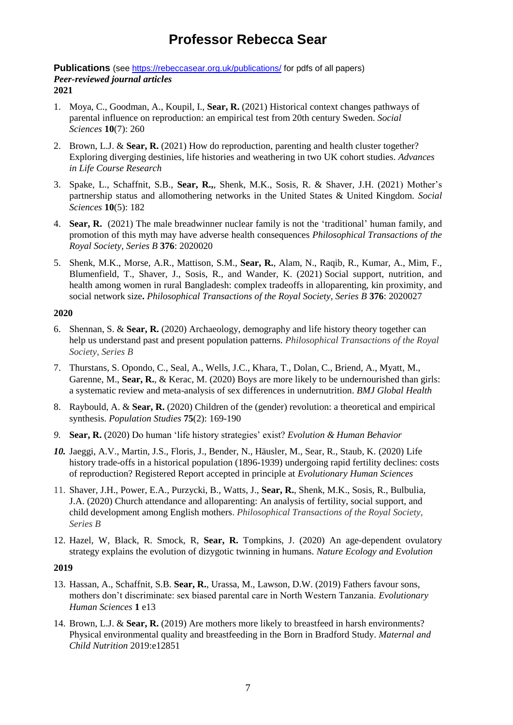**Publications** (see<https://rebeccasear.org.uk/publications/> for pdfs of all papers) *Peer-reviewed journal articles* **2021**

- 1. Moya, C., Goodman, A., Koupil, I., **Sear, R.** (2021) Historical context changes pathways of parental influence on reproduction: an empirical test from 20th century Sweden. *Social Sciences* **10**(7): 260
- 2. Brown, L.J. & **Sear, R.** (2021) How do reproduction, parenting and health cluster together? Exploring diverging destinies, life histories and weathering in two UK cohort studies. *Advances in Life Course Research*
- 3. Spake, L., Schaffnit, S.B., **Sear, R.,**, Shenk, M.K., Sosis, R. & Shaver, J.H. (2021) Mother's partnership status and allomothering networks in the United States & United Kingdom. *Social Sciences* **10**(5): 182
- 4. **Sear, R.** (2021) The male breadwinner nuclear family is not the 'traditional' human family, and promotion of this myth may have adverse health consequences *Philosophical Transactions of the Royal Society, Series B* **376**: 2020020
- 5. Shenk, M.K., Morse, A.R., Mattison, S.M., **Sear, R.**, Alam, N., Raqib, R., Kumar, A., Mim, F., Blumenfield, T., Shaver, J., Sosis, R., and Wander, K. (2021) Social support, nutrition, and health among women in rural Bangladesh: complex tradeoffs in alloparenting, kin proximity, and social network size**.** *Philosophical Transactions of the Royal Society, Series B* **376**: 2020027

#### **2020**

- 6. Shennan, S. & **Sear, R.** (2020) Archaeology, demography and life history theory together can help us understand past and present population patterns. *Philosophical Transactions of the Royal Society, Series B*
- 7. Thurstans, S. Opondo, C., Seal, A., Wells, J.C., Khara, T., Dolan, C., Briend, A., Myatt, M., Garenne, M., Sear, R., & Kerac, M. (2020) Boys are more likely to be undernourished than girls: a systematic review and meta-analysis of sex differences in undernutrition. *BMJ Global Health*
- 8. Raybould, A. & **Sear, R.** (2020) Children of the (gender) revolution: a theoretical and empirical synthesis. *Population Studies* **75**(2): 169-190
- *9.* **Sear, R.** (2020) Do human 'life history strategies' exist? *Evolution & Human Behavior*
- *10.* Jaeggi, A.V., Martin, J.S., Floris, J., Bender, N., Häusler, M., Sear, R., Staub, K. (2020) Life history trade-offs in a historical population (1896-1939) undergoing rapid fertility declines: costs of reproduction? Registered Report accepted in principle at *Evolutionary Human Sciences*
- 11. Shaver, J.H., Power, E.A., Purzycki, B., Watts, J., **Sear, R.**, Shenk, M.K., Sosis, R., Bulbulia, J.A. (2020) Church attendance and alloparenting: An analysis of fertility, social support, and child development among English mothers. *Philosophical Transactions of the Royal Society, Series B*
- 12. Hazel, W, Black, R. Smock, R, **Sear, R.** Tompkins, J. (2020) An age-dependent ovulatory strategy explains the evolution of dizygotic twinning in humans. *Nature Ecology and Evolution*

## **2019**

- 13. Hassan, A., Schaffnit, S.B. **Sear, R.**, Urassa, M., Lawson, D.W. (2019) Fathers favour sons, mothers don't discriminate: sex biased parental care in North Western Tanzania. *Evolutionary Human Sciences* **1** e13
- 14. Brown, L.J. & **Sear, R.** (2019) Are mothers more likely to breastfeed in harsh environments? Physical environmental quality and breastfeeding in the Born in Bradford Study. *Maternal and Child Nutrition* 2019:e12851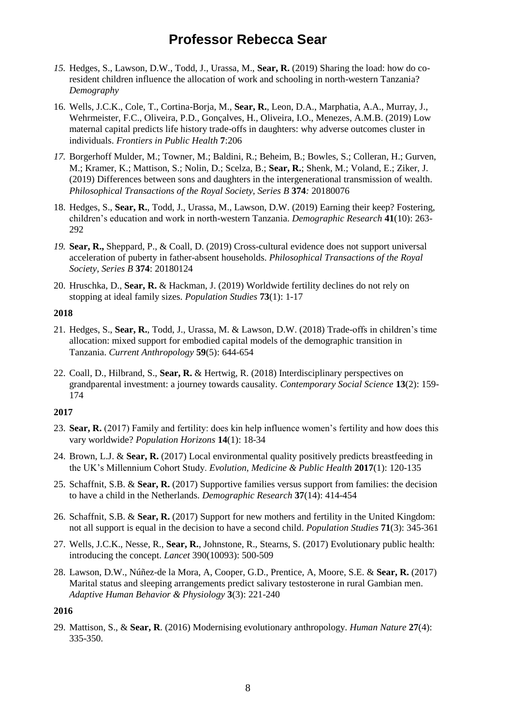- *15.* Hedges, S., Lawson, D.W., Todd, J., Urassa, M., **Sear, R.** (2019) Sharing the load: how do coresident children influence the allocation of work and schooling in north-western Tanzania? *Demography*
- 16. Wells, J.C.K., Cole, T., Cortina-Borja, M., **Sear, R.**, Leon, D.A., Marphatia, A.A., Murray, J., Wehrmeister, F.C., Oliveira, P.D., Gonçalves, H., Oliveira, I.O., Menezes, A.M.B. (2019) Low maternal capital predicts life history trade-offs in daughters: why adverse outcomes cluster in individuals. *Frontiers in Public Health* **7**:206
- *17.* Borgerhoff Mulder, M.; Towner, M.; Baldini, R.; Beheim, B.; Bowles, S.; Colleran, H.; Gurven, M.; Kramer, K.; Mattison, S.; Nolin, D.; Scelza, B.; **Sear, R.**; Shenk, M.; Voland, E.; Ziker, J. (2019) Differences between sons and daughters in the intergenerational transmission of wealth. *Philosophical Transactions of the Royal Society, Series B* **374***:* 20180076
- 18. Hedges, S., **Sear, R.**, Todd, J., Urassa, M., Lawson, D.W. (2019) Earning their keep? Fostering, children's education and work in north-western Tanzania. *Demographic Research* **41**(10): 263- 292
- *19.* **Sear, R.,** Sheppard, P., & Coall, D. (2019) Cross-cultural evidence does not support universal acceleration of puberty in father-absent households. *Philosophical Transactions of the Royal Society, Series B* **374**: 20180124
- 20. Hruschka, D., **Sear, R.** & Hackman, J. (2019) Worldwide fertility declines do not rely on stopping at ideal family sizes. *Population Studies* **73**(1): 1-17

#### **2018**

- 21. Hedges, S., **Sear, R.**, Todd, J., Urassa, M. & Lawson, D.W. (2018) Trade-offs in children's time allocation: mixed support for embodied capital models of the demographic transition in Tanzania. *Current Anthropology* **59**(5): 644-654
- 22. Coall, D., Hilbrand, S., **Sear, R.** & Hertwig, R. (2018) Interdisciplinary perspectives on grandparental investment: a journey towards causality. *Contemporary Social Science* **13**(2): 159- 174

#### **2017**

- 23. **Sear, R.** (2017) Family and fertility: does kin help influence women's fertility and how does this vary worldwide? *Population Horizons* **14**(1): 18-34
- 24. Brown, L.J. & **Sear, R.** (2017) Local environmental quality positively predicts breastfeeding in the UK's Millennium Cohort Study. *Evolution, Medicine & Public Health* **2017**(1): 120-135
- 25. Schaffnit, S.B. & **Sear, R.** (2017) Supportive families versus support from families: the decision to have a child in the Netherlands. *Demographic Research* **37**(14): 414-454
- 26. Schaffnit, S.B. & **Sear, R.** (2017) Support for new mothers and fertility in the United Kingdom: not all support is equal in the decision to have a second child. *Population Studies* **71**(3): 345-361
- 27. Wells, J.C.K., Nesse, R., **Sear, R.**, Johnstone, R., Stearns, S. (2017) Evolutionary public health: introducing the concept. *Lancet* 390(10093): 500-509
- 28. Lawson, D.W., Núñez-de la Mora, A, Cooper, G.D., Prentice, A, Moore, S.E. & **Sear, R.** (2017) Marital status and sleeping arrangements predict salivary testosterone in rural Gambian men. *Adaptive Human Behavior & Physiology* **3**(3): 221-240

#### **2016**

29. Mattison, S., & **Sear, R**. (2016) Modernising evolutionary anthropology. *Human Nature* **27**(4): 335-350.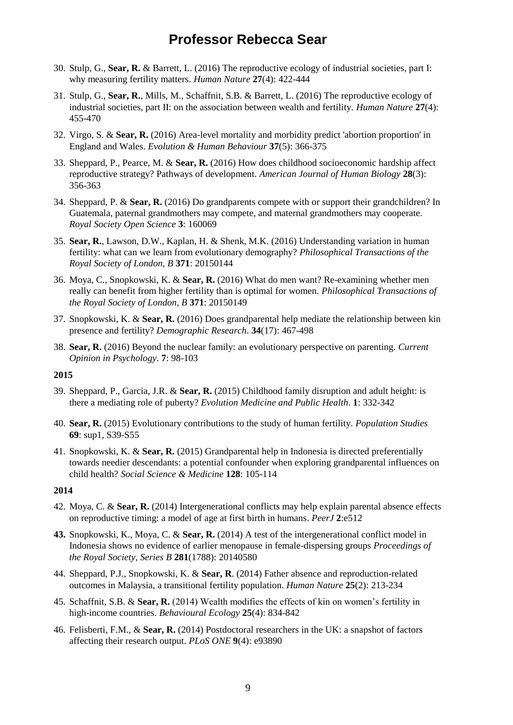- 30. Stulp, G., **Sear, R.** & Barrett, L. (2016) The reproductive ecology of industrial societies, part I: why measuring fertility matters. *Human Nature* **27**(4): 422-444
- 31. Stulp, G., **Sear, R.**, Mills, M., Schaffnit, S.B. & Barrett, L. (2016) The reproductive ecology of industrial societies, part II: on the association between wealth and fertility. *Human Nature* **27**(4): 455-470
- 32. Virgo, S. & **Sear, R.** (2016) Area-level mortality and morbidity predict 'abortion proportion' in England and Wales. *Evolution & Human Behaviour* **37**(5): 366-375
- 33. Sheppard, P., Pearce, M. & **Sear, R.** (2016) How does childhood socioeconomic hardship affect reproductive strategy? Pathways of development. *American Journal of Human Biology* **28**(3): 356-363
- 34. Sheppard, P. & **Sear, R.** (2016) Do grandparents compete with or support their grandchildren? In Guatemala, paternal grandmothers may compete, and maternal grandmothers may cooperate. *Royal Society Open Science* **3**: 160069
- 35. **Sear, R.**, Lawson, D.W., Kaplan, H. & Shenk, M.K. (2016) Understanding variation in human fertility: what can we learn from evolutionary demography? *Philosophical Transactions of the Royal Society of London, B* **371**: 20150144
- 36. Moya, C., Snopkowski, K. & **Sear, R.** (2016) What do men want? Re-examining whether men really can benefit from higher fertility than is optimal for women. *Philosophical Transactions of the Royal Society of London, B* **371**: 20150149
- 37. Snopkowski, K. & **Sear, R.** (2016) Does grandparental help mediate the relationship between kin presence and fertility? *Demographic Research*. **34**(17): 467-498
- 38. **Sear, R.** (2016) Beyond the nuclear family: an evolutionary perspective on parenting. *Current Opinion in Psychology*. **7**: 98-103

#### **2015**

- 39. Sheppard, P., Garcia, J.R. & **Sear, R.** (2015) Childhood family disruption and adult height: is there a mediating role of puberty? *Evolution Medicine and Public Health*. **1**: 332-342
- 40. **Sear, R.** (2015) Evolutionary contributions to the study of human fertility. *Population Studies* **69**: sup1, S39-S55
- 41. Snopkowski, K. & **Sear, R.** (2015) Grandparental help in Indonesia is directed preferentially towards needier descendants: a potential confounder when exploring grandparental influences on child health? *Social Science & Medicine* **128**: 105-114

#### **2014**

- 42. Moya, C. & **Sear, R.** (2014) Intergenerational conflicts may help explain parental absence effects on reproductive timing: a model of age at first birth in humans. *PeerJ* **2**:e512
- **43.** Snopkowski, K., Moya, C. & **Sear, R.** (2014) A test of the intergenerational conflict model in Indonesia shows no evidence of earlier menopause in female-dispersing groups *Proceedings of the Royal Society, Series B* **281**(1788): 20140580
- 44. Sheppard, P.J., Snopkowski, K. & **Sear, R**. (2014) Father absence and reproduction-related outcomes in Malaysia, a transitional fertility population. *Human Nature* **25**(2): 213-234
- 45. Schaffnit, S.B. & **Sear, R.** (2014) Wealth modifies the effects of kin on women's fertility in high-income countries. *Behavioural Ecology* **25**(4): 834-842
- 46. Felisberti, F.M., & **Sear, R.** (2014) Postdoctoral researchers in the UK: a snapshot of factors affecting their research output. *PLoS ONE* **9**(4): e93890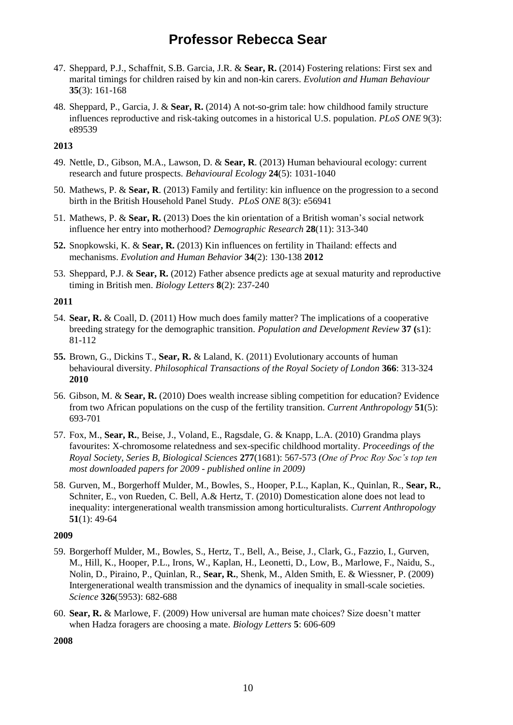- 47. Sheppard, P.J., Schaffnit, S.B. Garcia, J.R. & **Sear, R.** (2014) Fostering relations: First sex and marital timings for children raised by kin and non-kin carers. *Evolution and Human Behaviour*  **35**(3): 161-168
- 48. Sheppard, P., Garcia, J. & **Sear, R.** (2014) A not-so-grim tale: how childhood family structure influences reproductive and risk-taking outcomes in a historical U.S. population. *PLoS ONE* 9(3): e89539

#### **2013**

- 49. Nettle, D., Gibson, M.A., Lawson, D. & **Sear, R**. (2013) Human behavioural ecology: current research and future prospects. *Behavioural Ecology* **24**(5): 1031-1040
- 50. Mathews, P. & **Sear, R**. (2013) Family and fertility: kin influence on the progression to a second birth in the British Household Panel Study. *PLoS ONE* 8(3): e56941
- 51. Mathews, P. & **Sear, R.** (2013) Does the kin orientation of a British woman's social network influence her entry into motherhood? *Demographic Research* **28**(11): 313-340
- **52.** Snopkowski, K. & **Sear, R.** (2013) Kin influences on fertility in Thailand: effects and mechanisms. *Evolution and Human Behavior* **34**(2): 130-138 **2012**
- 53. Sheppard, P.J. & **Sear, R.** (2012) Father absence predicts age at sexual maturity and reproductive timing in British men. *Biology Letters* **8**(2): 237-240

#### **2011**

- 54. **Sear, R.** & Coall, D. (2011) How much does family matter? The implications of a cooperative breeding strategy for the demographic transition. *Population and Development Review* **37 (**s1): 81-112
- **55.** Brown, G., Dickins T., **Sear, R.** & Laland, K. (2011) Evolutionary accounts of human behavioural diversity. *Philosophical Transactions of the Royal Society of London* **366**: 313-324 **2010**
- 56. Gibson, M. & **Sear, R.** (2010) Does wealth increase sibling competition for education? Evidence from two African populations on the cusp of the fertility transition. *Current Anthropology* **51**(5): 693-701
- 57. Fox, M., **Sear, R.**, Beise, J., Voland, E., Ragsdale, G. & Knapp, L.A. (2010) Grandma plays favourites: X-chromosome relatedness and sex-specific childhood mortality. *Proceedings of the Royal Society, Series B, Biological Sciences* **277**(1681): 567-573 *(One of Proc Roy Soc's top ten most downloaded papers for 2009 - published online in 2009)*
- 58. Gurven, M., Borgerhoff Mulder, M., Bowles, S., Hooper, P.L., Kaplan, K., Quinlan, R., **Sear, R.**, Schniter, E., von Rueden, C. Bell, A.& Hertz, T. (2010) Domestication alone does not lead to inequality: intergenerational wealth transmission among horticulturalists. *Current Anthropology* **51**(1): 49-64

## **2009**

- 59. Borgerhoff Mulder, M., Bowles, S., Hertz, T., Bell, A., Beise, J., Clark, G., Fazzio, I., Gurven, M., Hill, K., Hooper, P.L., Irons, W., Kaplan, H., Leonetti, D., Low, B., Marlowe, F., Naidu, S., Nolin, D., Piraino, P., Quinlan, R., **Sear, R.**, Shenk, M., Alden Smith, E. & Wiessner, P. (2009) Intergenerational wealth transmission and the dynamics of inequality in small-scale societies. *Science* **326**(5953): 682-688
- 60. **Sear, R.** & Marlowe, F. (2009) How universal are human mate choices? Size doesn't matter when Hadza foragers are choosing a mate. *Biology Letters* **5**: 606-609

**2008**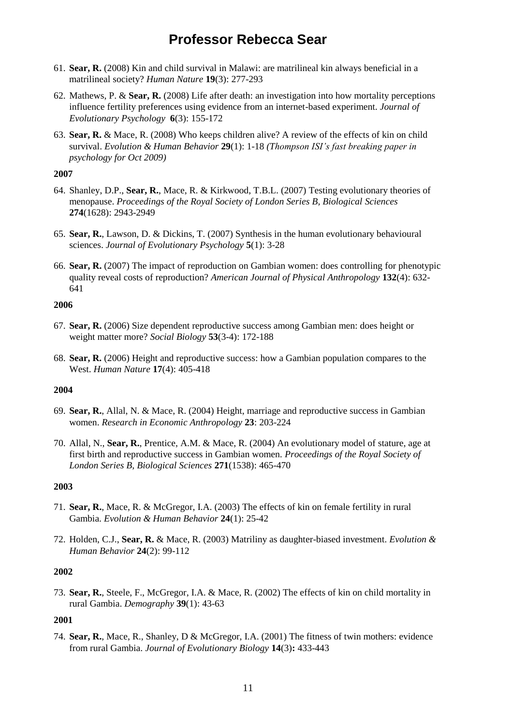- 61. **Sear, R.** (2008) Kin and child survival in Malawi: are matrilineal kin always beneficial in a matrilineal society? *Human Nature* **19**(3): 277-293
- 62. Mathews, P. & **Sear, R.** (2008) Life after death: an investigation into how mortality perceptions influence fertility preferences using evidence from an internet-based experiment. *Journal of Evolutionary Psychology* **6**(3): 155-172
- 63. **Sear, R.** & Mace, R. (2008) Who keeps children alive? A review of the effects of kin on child survival. *Evolution & Human Behavior* **29**(1): 1-18 *(Thompson ISI's fast breaking paper in psychology for Oct 2009)*

#### **2007**

- 64. Shanley, D.P., **Sear, R.**, Mace, R. & Kirkwood, T.B.L. (2007) Testing evolutionary theories of menopause. *Proceedings of the Royal Society of London Series B, Biological Sciences* **274**(1628): 2943-2949
- 65. **Sear, R.**, Lawson, D. & Dickins, T. (2007) Synthesis in the human evolutionary behavioural sciences. *Journal of Evolutionary Psychology* **5**(1): 3-28
- 66. **Sear, R.** (2007) The impact of reproduction on Gambian women: does controlling for phenotypic quality reveal costs of reproduction? *American Journal of Physical Anthropology* **132**(4): 632- 641

#### **2006**

- 67. **Sear, R.** (2006) Size dependent reproductive success among Gambian men: does height or weight matter more? *Social Biology* **53**(3-4): 172-188
- 68. **Sear, R.** (2006) Height and reproductive success: how a Gambian population compares to the West. *Human Nature* **17**(4): 405-418

## **2004**

- 69. **Sear, R.**, Allal, N. & Mace, R. (2004) Height, marriage and reproductive success in Gambian women. *Research in Economic Anthropology* **23**: 203-224
- 70. Allal, N., **Sear, R.**, Prentice, A.M. & Mace, R. (2004) An evolutionary model of stature, age at first birth and reproductive success in Gambian women. *Proceedings of the Royal Society of London Series B, Biological Sciences* **271**(1538): 465-470

## **2003**

- 71. **Sear, R.**, Mace, R. & McGregor, I.A. (2003) The effects of kin on female fertility in rural Gambia. *Evolution & Human Behavior* **24**(1): 25-42
- 72. Holden, C.J., **Sear, R.** & Mace, R. (2003) Matriliny as daughter-biased investment. *Evolution & Human Behavior* **24**(2): 99-112

#### **2002**

73. **Sear, R.**, Steele, F., McGregor, I.A. & Mace, R. (2002) The effects of kin on child mortality in rural Gambia. *Demography* **39**(1): 43-63

## **2001**

74. **Sear, R.**, Mace, R., Shanley, D & McGregor, I.A. (2001) The fitness of twin mothers: evidence from rural Gambia. *Journal of Evolutionary Biology* **14**(3)**:** 433-443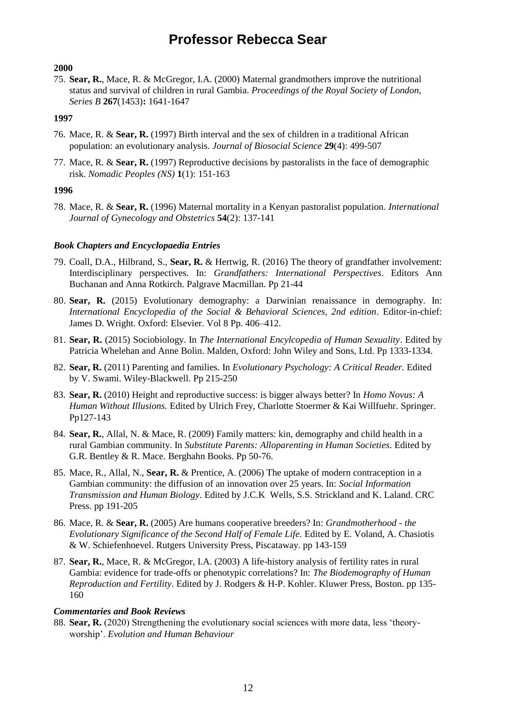#### **2000**

75. **Sear, R.**, Mace, R. & McGregor, I.A. (2000) Maternal grandmothers improve the nutritional status and survival of children in rural Gambia. *Proceedings of the Royal Society of London, Series B* **267**(1453)**:** 1641-1647

#### **1997**

- 76. Mace, R. & **Sear, R.** (1997) Birth interval and the sex of children in a traditional African population: an evolutionary analysis. *Journal of Biosocial Science* **29**(4): 499-507
- 77. Mace, R. & **Sear, R.** (1997) Reproductive decisions by pastoralists in the face of demographic risk. *Nomadic Peoples (NS)* **1**(1): 151-163

#### **1996**

78. Mace, R. & **Sear, R.** (1996) Maternal mortality in a Kenyan pastoralist population. *International Journal of Gynecology and Obstetrics* **54**(2): 137-141

#### *Book Chapters and Encyclopaedia Entries*

- 79. Coall, D.A., Hilbrand, S., **Sear, R.** & Hertwig, R. (2016) The theory of grandfather involvement: Interdisciplinary perspectives. In: *Grandfathers: International Perspectives*. Editors Ann Buchanan and Anna Rotkirch. Palgrave Macmillan. Pp 21-44
- 80. **Sear, R.** (2015) Evolutionary demography: a Darwinian renaissance in demography. In: *International Encyclopedia of the Social & Behavioral Sciences, 2nd edition*. Editor-in-chief: James D. Wright. Oxford: Elsevier. Vol 8 Pp. 406–412.
- 81. **Sear, R.** (2015) Sociobiology. In *The International Encylcopedia of Human Sexuality*. Edited by Patricia Whelehan and Anne Bolin. Malden, Oxford: John Wiley and Sons, Ltd. Pp 1333-1334.
- 82. **Sear, R.** (2011) Parenting and families. In *Evolutionary Psychology: A Critical Reader.* Edited by V. Swami. Wiley-Blackwell. Pp 215-250
- 83. **Sear, R.** (2010) Height and reproductive success: is bigger always better? In *Homo Novus: A Human Without Illusions.* Edited by Ulrich Frey, Charlotte Stoermer & Kai Willfuehr. Springer. Pp127-143
- 84. **Sear, R.**, Allal, N. & Mace, R. (2009) Family matters: kin, demography and child health in a rural Gambian community. In *Substitute Parents: Alloparenting in Human Societies*. Edited by G.R. Bentley & R. Mace. Berghahn Books. Pp 50-76.
- 85. Mace, R., Allal, N., **Sear, R.** & Prentice, A. (2006) The uptake of modern contraception in a Gambian community: the diffusion of an innovation over 25 years. In: *Social Information Transmission and Human Biology*. Edited by J.C.K Wells, S.S. Strickland and K. Laland. CRC Press. pp 191-205
- 86. Mace, R. & **Sear, R.** (2005) Are humans cooperative breeders? In: *Grandmotherhood - the Evolutionary Significance of the Second Half of Female Life.* Edited by E. Voland, A. Chasiotis & W. Schiefenhoevel. Rutgers University Press, Piscataway. pp 143-159
- 87. **Sear, R.**, Mace, R. & McGregor, I.A. (2003) A life-history analysis of fertility rates in rural Gambia: evidence for trade-offs or phenotypic correlations? In: *The Biodemography of Human Reproduction and Fertility*. Edited by J. Rodgers & H-P. Kohler. Kluwer Press, Boston. pp 135- 160

#### *Commentaries and Book Reviews*

88. **Sear, R.** (2020) Strengthening the evolutionary social sciences with more data, less 'theoryworship'. *Evolution and Human Behaviour*